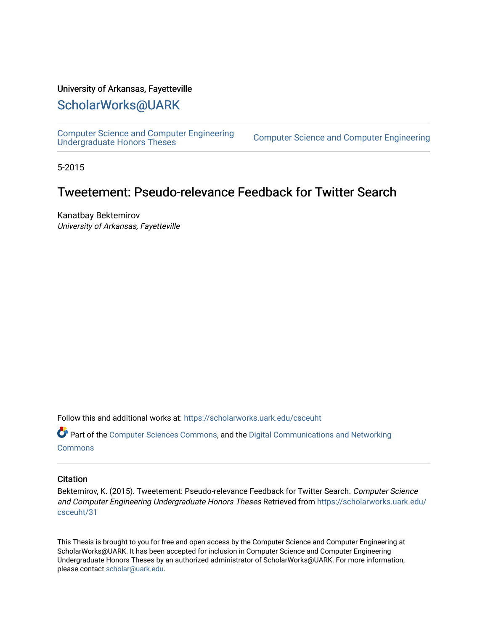#### University of Arkansas, Fayetteville

#### [ScholarWorks@UARK](https://scholarworks.uark.edu/)

[Computer Science and Computer Engineering](https://scholarworks.uark.edu/csceuht) 

Computer Science and Computer Engineering

5-2015

### Tweetement: Pseudo-relevance Feedback for Twitter Search

Kanatbay Bektemirov University of Arkansas, Fayetteville

Follow this and additional works at: [https://scholarworks.uark.edu/csceuht](https://scholarworks.uark.edu/csceuht?utm_source=scholarworks.uark.edu%2Fcsceuht%2F31&utm_medium=PDF&utm_campaign=PDFCoverPages)

Part of the [Computer Sciences Commons](http://network.bepress.com/hgg/discipline/142?utm_source=scholarworks.uark.edu%2Fcsceuht%2F31&utm_medium=PDF&utm_campaign=PDFCoverPages), and the [Digital Communications and Networking](http://network.bepress.com/hgg/discipline/262?utm_source=scholarworks.uark.edu%2Fcsceuht%2F31&utm_medium=PDF&utm_campaign=PDFCoverPages)  **[Commons](http://network.bepress.com/hgg/discipline/262?utm_source=scholarworks.uark.edu%2Fcsceuht%2F31&utm_medium=PDF&utm_campaign=PDFCoverPages)** 

#### **Citation**

Bektemirov, K. (2015). Tweetement: Pseudo-relevance Feedback for Twitter Search. Computer Science and Computer Engineering Undergraduate Honors Theses Retrieved from [https://scholarworks.uark.edu/](https://scholarworks.uark.edu/csceuht/31?utm_source=scholarworks.uark.edu%2Fcsceuht%2F31&utm_medium=PDF&utm_campaign=PDFCoverPages) [csceuht/31](https://scholarworks.uark.edu/csceuht/31?utm_source=scholarworks.uark.edu%2Fcsceuht%2F31&utm_medium=PDF&utm_campaign=PDFCoverPages) 

This Thesis is brought to you for free and open access by the Computer Science and Computer Engineering at ScholarWorks@UARK. It has been accepted for inclusion in Computer Science and Computer Engineering Undergraduate Honors Theses by an authorized administrator of ScholarWorks@UARK. For more information, please contact [scholar@uark.edu](mailto:scholar@uark.edu).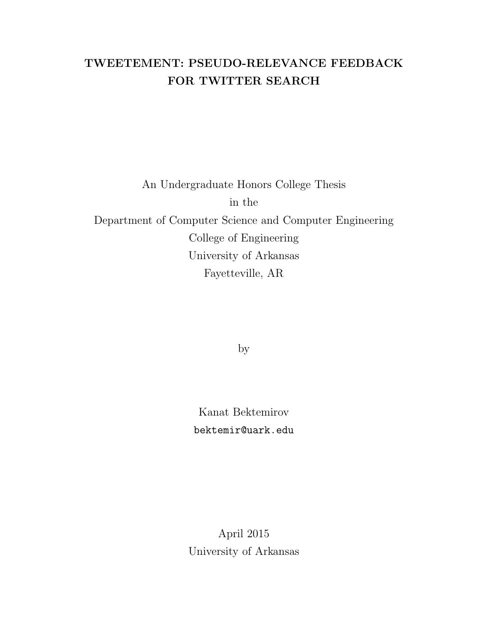## TWEETEMENT: PSEUDO-RELEVANCE FEEDBACK FOR TWITTER SEARCH

# An Undergraduate Honors College Thesis in the Department of Computer Science and Computer Engineering College of Engineering University of Arkansas Fayetteville, AR

by

Kanat Bektemirov bektemir@uark.edu

April 2015 University of Arkansas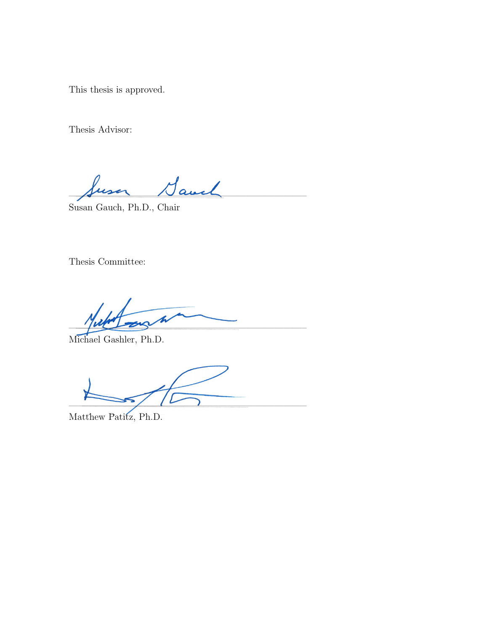This thesis is approved.

Thesis Advisor:

 $1$ avel

Susan Gauch, Ph.D., Chair

Thesis Committee:

 $\sqrt{M}$ 

Michael Gashler, Ph.D.

 $\frac{1}{\sqrt{2}}$ 

Matthew Patitz, Ph.D.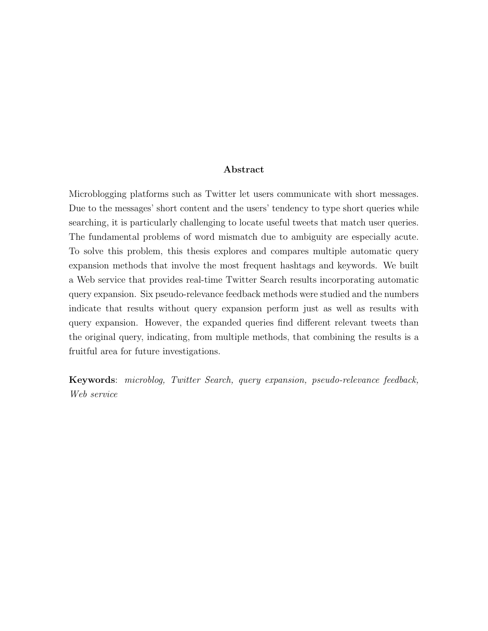#### Abstract

Microblogging platforms such as Twitter let users communicate with short messages. Due to the messages' short content and the users' tendency to type short queries while searching, it is particularly challenging to locate useful tweets that match user queries. The fundamental problems of word mismatch due to ambiguity are especially acute. To solve this problem, this thesis explores and compares multiple automatic query expansion methods that involve the most frequent hashtags and keywords. We built a Web service that provides real-time Twitter Search results incorporating automatic query expansion. Six pseudo-relevance feedback methods were studied and the numbers indicate that results without query expansion perform just as well as results with query expansion. However, the expanded queries find different relevant tweets than the original query, indicating, from multiple methods, that combining the results is a fruitful area for future investigations.

Keywords: microblog, Twitter Search, query expansion, pseudo-relevance feedback, Web service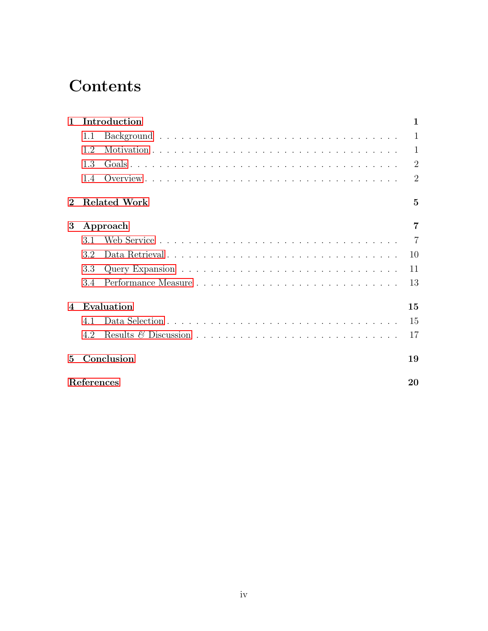# **Contents**

| $\mathbf{1}$ | Introduction |                     |                |  |  |  |  |  |  |
|--------------|--------------|---------------------|----------------|--|--|--|--|--|--|
|              | 1.1          |                     | 1              |  |  |  |  |  |  |
|              | 1.2          |                     | $\mathbf{1}$   |  |  |  |  |  |  |
|              | 1.3          |                     | $\overline{2}$ |  |  |  |  |  |  |
|              | 1.4          |                     | $\overline{2}$ |  |  |  |  |  |  |
|              |              | <b>Related Work</b> | $\overline{5}$ |  |  |  |  |  |  |
| 3            | Approach     |                     |                |  |  |  |  |  |  |
|              | 3.1          |                     | $\overline{7}$ |  |  |  |  |  |  |
|              | 3.2          | Data Retrieval      | 10             |  |  |  |  |  |  |
|              | 3.3          |                     | 11             |  |  |  |  |  |  |
|              | 3.4          |                     | 13             |  |  |  |  |  |  |
| 4            |              | Evaluation          | 15             |  |  |  |  |  |  |
|              | 4.1          |                     | 15             |  |  |  |  |  |  |
|              | 4.2          |                     | 17             |  |  |  |  |  |  |
| $\mathbf{5}$ | Conclusion   |                     |                |  |  |  |  |  |  |
| References   |              |                     |                |  |  |  |  |  |  |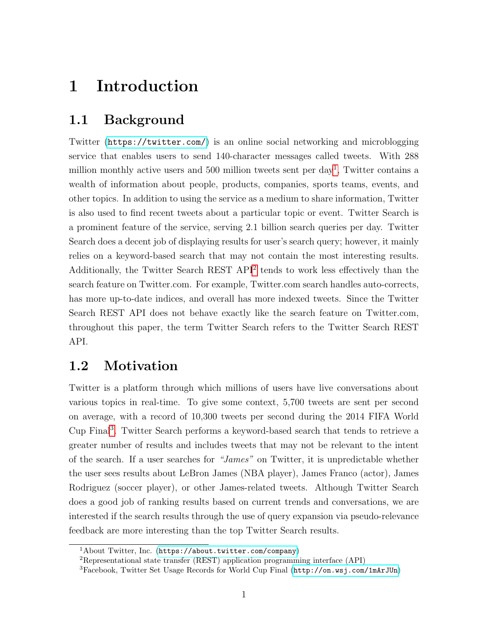## <span id="page-5-0"></span>1 Introduction

### <span id="page-5-1"></span>1.1 Background

Twitter (<https://twitter.com/>) is an online social networking and microblogging service that enables users to send 140-character messages called tweets. With 288 million monthly active users and 500 million tweets sent per day<sup>[1](#page-5-3)</sup>, Twitter contains a wealth of information about people, products, companies, sports teams, events, and other topics. In addition to using the service as a medium to share information, Twitter is also used to find recent tweets about a particular topic or event. Twitter Search is a prominent feature of the service, serving 2.1 billion search queries per day. Twitter Search does a decent job of displaying results for user's search query; however, it mainly relies on a keyword-based search that may not contain the most interesting results. Additionally, the Twitter Search REST API<sup>[2](#page-5-4)</sup> tends to work less effectively than the search feature on Twitter.com. For example, Twitter.com search handles auto-corrects, has more up-to-date indices, and overall has more indexed tweets. Since the Twitter Search REST API does not behave exactly like the search feature on Twitter.com, throughout this paper, the term Twitter Search refers to the Twitter Search REST API.

### <span id="page-5-2"></span>1.2 Motivation

Twitter is a platform through which millions of users have live conversations about various topics in real-time. To give some context, 5,700 tweets are sent per second on average, with a record of 10,300 tweets per second during the 2014 FIFA World Cup Final<sup>[3](#page-5-5)</sup>. Twitter Search performs a keyword-based search that tends to retrieve a greater number of results and includes tweets that may not be relevant to the intent of the search. If a user searches for "James" on Twitter, it is unpredictable whether the user sees results about LeBron James (NBA player), James Franco (actor), James Rodriguez (soccer player), or other James-related tweets. Although Twitter Search does a good job of ranking results based on current trends and conversations, we are interested if the search results through the use of query expansion via pseudo-relevance feedback are more interesting than the top Twitter Search results.

<span id="page-5-3"></span> $1$ About Twitter, Inc. (<https://about.twitter.com/company>)

<span id="page-5-4"></span><sup>2</sup>Representational state transfer (REST) application programming interface (API)

<span id="page-5-5"></span><sup>3</sup>Facebook, Twitter Set Usage Records for World Cup Final (<http://on.wsj.com/1mArJUn>)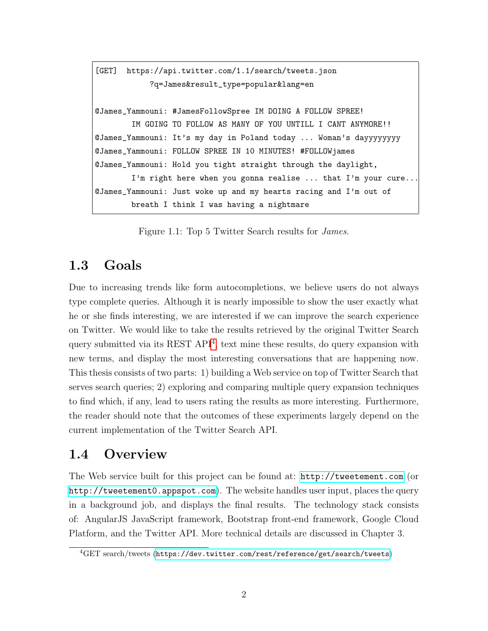```
[GET] https://api.twitter.com/1.1/search/tweets.json
            ?q=James&result_type=popular&lang=en
@James_Yammouni: #JamesFollowSpree IM DOING A FOLLOW SPREE!
        IM GOING TO FOLLOW AS MANY OF YOU UNTILL I CANT ANYMORE!!
@James_Yammouni: It's my day in Poland today ... Woman's dayyyyyyyy
@James_Yammouni: FOLLOW SPREE IN 10 MINUTES! #FOLLOWjames
@James_Yammouni: Hold you tight straight through the daylight,
        I'm right here when you gonna realise ... that I'm your cure...
@James_Yammouni: Just woke up and my hearts racing and I'm out of
       breath I think I was having a nightmare
```
Figure 1.1: Top 5 Twitter Search results for James.

### <span id="page-6-0"></span>1.3 Goals

Due to increasing trends like form autocompletions, we believe users do not always type complete queries. Although it is nearly impossible to show the user exactly what he or she finds interesting, we are interested if we can improve the search experience on Twitter. We would like to take the results retrieved by the original Twitter Search query submitted via its REST API<sup>[4](#page-6-2)</sup>, text mine these results, do query expansion with new terms, and display the most interesting conversations that are happening now. This thesis consists of two parts: 1) building a Web service on top of Twitter Search that serves search queries; 2) exploring and comparing multiple query expansion techniques to find which, if any, lead to users rating the results as more interesting. Furthermore, the reader should note that the outcomes of these experiments largely depend on the current implementation of the Twitter Search API.

#### <span id="page-6-1"></span>1.4 Overview

The Web service built for this project can be found at: <http://tweetement.com> (or <http://tweetement0.appspot.com>). The website handles user input, places the query in a background job, and displays the final results. The technology stack consists of: AngularJS JavaScript framework, Bootstrap front-end framework, Google Cloud Platform, and the Twitter API. More technical details are discussed in Chapter 3.

<span id="page-6-2"></span><sup>4</sup>GET search/tweets (<https://dev.twitter.com/rest/reference/get/search/tweets>)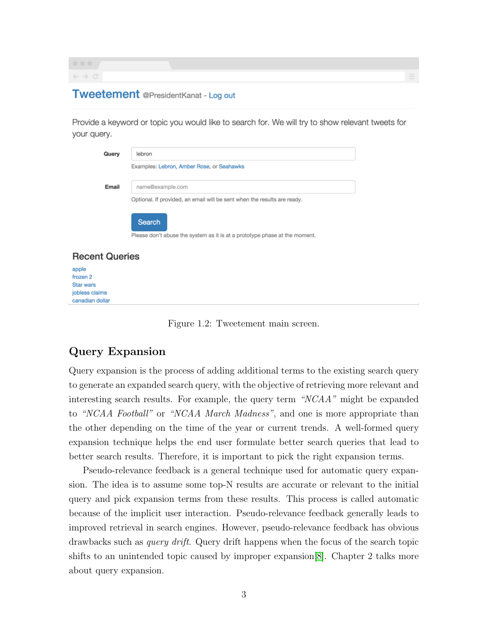$\rightarrow$  C

#### **Tweetement** @PresidentKanat - Log out

Provide a keyword or topic you would like to search for. We will try to show relevant tweets for your query.

| Query                              | lebron                                                                               |  |  |  |  |  |  |
|------------------------------------|--------------------------------------------------------------------------------------|--|--|--|--|--|--|
|                                    | Examples: Lebron, Amber Rose, or Seahawks                                            |  |  |  |  |  |  |
| Email                              | name@example.com                                                                     |  |  |  |  |  |  |
|                                    | Optional. If provided, an email will be sent when the results are ready.             |  |  |  |  |  |  |
|                                    | Search<br>Please don't abuse the system as it is at a prototype phase at the moment. |  |  |  |  |  |  |
| <b>Recent Queries</b>              |                                                                                      |  |  |  |  |  |  |
| apple                              |                                                                                      |  |  |  |  |  |  |
| frozen 2                           |                                                                                      |  |  |  |  |  |  |
| <b>Star wars</b><br>jobless claims |                                                                                      |  |  |  |  |  |  |
| canadian dollar                    |                                                                                      |  |  |  |  |  |  |

Figure 1.2: Tweetement main screen.

### Query Expansion

Query expansion is the process of adding additional terms to the existing search query to generate an expanded search query, with the objective of retrieving more relevant and interesting search results. For example, the query term "NCAA" might be expanded to "NCAA Football" or "NCAA March Madness", and one is more appropriate than the other depending on the time of the year or current trends. A well-formed query expansion technique helps the end user formulate better search queries that lead to better search results. Therefore, it is important to pick the right expansion terms.

Pseudo-relevance feedback is a general technique used for automatic query expansion. The idea is to assume some top-N results are accurate or relevant to the initial query and pick expansion terms from these results. This process is called automatic because of the implicit user interaction. Pseudo-relevance feedback generally leads to improved retrieval in search engines. However, pseudo-relevance feedback has obvious drawbacks such as query drift. Query drift happens when the focus of the search topic shifts to an unintended topic caused by improper expansion[\[8\]](#page-24-0). Chapter 2 talks more about query expansion.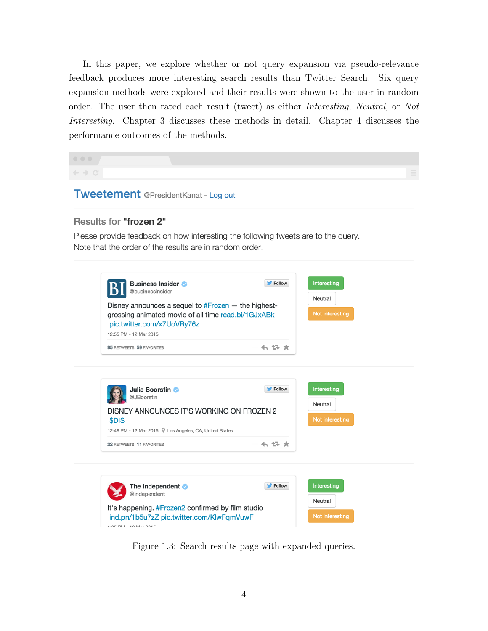In this paper, we explore whether or not query expansion via pseudo-relevance feedback produces more interesting search results than Twitter Search. Six query expansion methods were explored and their results were shown to the user in random order. The user then rated each result (tweet) as either Interesting, Neutral, or Not Interesting. Chapter 3 discusses these methods in detail. Chapter 4 discusses the performance outcomes of the methods.

 $\leftarrow$   $\rightarrow$  C

**Tweetement** @PresidentKanat - Log out

#### Results for "frozen 2"

Please provide feedback on how interesting the following tweets are to the query. Note that the order of the results are in random order.



Figure 1.3: Search results page with expanded queries.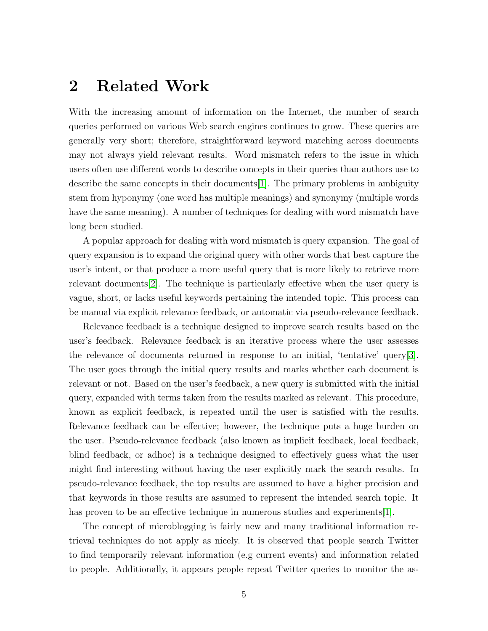## <span id="page-9-0"></span>2 Related Work

With the increasing amount of information on the Internet, the number of search queries performed on various Web search engines continues to grow. These queries are generally very short; therefore, straightforward keyword matching across documents may not always yield relevant results. Word mismatch refers to the issue in which users often use different words to describe concepts in their queries than authors use to describe the same concepts in their documents[\[1\]](#page-24-1). The primary problems in ambiguity stem from hyponymy (one word has multiple meanings) and synonymy (multiple words have the same meaning). A number of techniques for dealing with word mismatch have long been studied.

A popular approach for dealing with word mismatch is query expansion. The goal of query expansion is to expand the original query with other words that best capture the user's intent, or that produce a more useful query that is more likely to retrieve more relevant documents[\[2\]](#page-24-2). The technique is particularly effective when the user query is vague, short, or lacks useful keywords pertaining the intended topic. This process can be manual via explicit relevance feedback, or automatic via pseudo-relevance feedback.

Relevance feedback is a technique designed to improve search results based on the user's feedback. Relevance feedback is an iterative process where the user assesses the relevance of documents returned in response to an initial, 'tentative' query[\[3\]](#page-24-3). The user goes through the initial query results and marks whether each document is relevant or not. Based on the user's feedback, a new query is submitted with the initial query, expanded with terms taken from the results marked as relevant. This procedure, known as explicit feedback, is repeated until the user is satisfied with the results. Relevance feedback can be effective; however, the technique puts a huge burden on the user. Pseudo-relevance feedback (also known as implicit feedback, local feedback, blind feedback, or adhoc) is a technique designed to effectively guess what the user might find interesting without having the user explicitly mark the search results. In pseudo-relevance feedback, the top results are assumed to have a higher precision and that keywords in those results are assumed to represent the intended search topic. It has proven to be an effective technique in numerous studies and experiments [\[1\]](#page-24-1).

The concept of microblogging is fairly new and many traditional information retrieval techniques do not apply as nicely. It is observed that people search Twitter to find temporarily relevant information (e.g current events) and information related to people. Additionally, it appears people repeat Twitter queries to monitor the as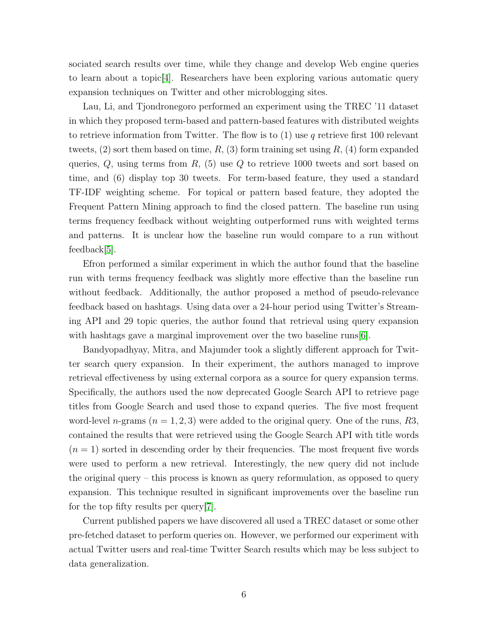sociated search results over time, while they change and develop Web engine queries to learn about a topic[\[4\]](#page-24-4). Researchers have been exploring various automatic query expansion techniques on Twitter and other microblogging sites.

Lau, Li, and Tjondronegoro performed an experiment using the TREC '11 dataset in which they proposed term-based and pattern-based features with distributed weights to retrieve information from Twitter. The flow is to  $(1)$  use q retrieve first 100 relevant tweets,  $(2)$  sort them based on time,  $R$ ,  $(3)$  form training set using  $R$ ,  $(4)$  form expanded queries,  $Q$ , using terms from  $R$ , (5) use  $Q$  to retrieve 1000 tweets and sort based on time, and (6) display top 30 tweets. For term-based feature, they used a standard TF-IDF weighting scheme. For topical or pattern based feature, they adopted the Frequent Pattern Mining approach to find the closed pattern. The baseline run using terms frequency feedback without weighting outperformed runs with weighted terms and patterns. It is unclear how the baseline run would compare to a run without feedback[\[5\]](#page-24-5).

Efron performed a similar experiment in which the author found that the baseline run with terms frequency feedback was slightly more effective than the baseline run without feedback. Additionally, the author proposed a method of pseudo-relevance feedback based on hashtags. Using data over a 24-hour period using Twitter's Streaming API and 29 topic queries, the author found that retrieval using query expansion with hashtags gave a marginal improvement over the two baseline runs [\[6\]](#page-24-6).

Bandyopadhyay, Mitra, and Majumder took a slightly different approach for Twitter search query expansion. In their experiment, the authors managed to improve retrieval effectiveness by using external corpora as a source for query expansion terms. Specifically, the authors used the now deprecated Google Search API to retrieve page titles from Google Search and used those to expand queries. The five most frequent word-level n-grams  $(n = 1, 2, 3)$  were added to the original query. One of the runs, R3, contained the results that were retrieved using the Google Search API with title words  $(n = 1)$  sorted in descending order by their frequencies. The most frequent five words were used to perform a new retrieval. Interestingly, the new query did not include the original query – this process is known as query reformulation, as opposed to query expansion. This technique resulted in significant improvements over the baseline run for the top fifty results per query[\[7\]](#page-24-7).

Current published papers we have discovered all used a TREC dataset or some other pre-fetched dataset to perform queries on. However, we performed our experiment with actual Twitter users and real-time Twitter Search results which may be less subject to data generalization.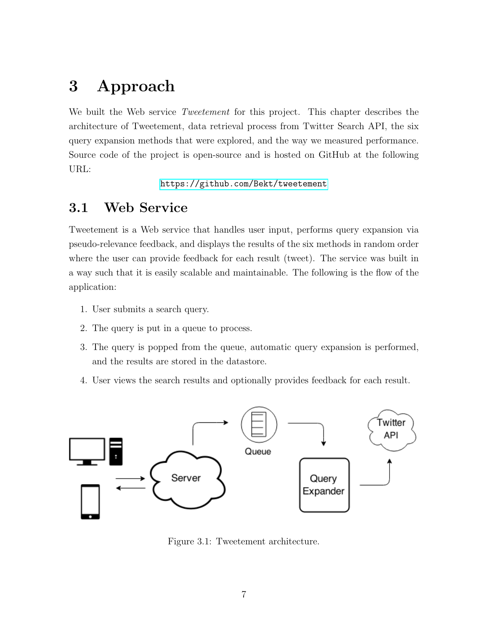# <span id="page-11-0"></span>3 Approach

We built the Web service *Tweetement* for this project. This chapter describes the architecture of Tweetement, data retrieval process from Twitter Search API, the six query expansion methods that were explored, and the way we measured performance. Source code of the project is open-source and is hosted on GitHub at the following URL:

<https://github.com/Bekt/tweetement>

### <span id="page-11-1"></span>3.1 Web Service

Tweetement is a Web service that handles user input, performs query expansion via pseudo-relevance feedback, and displays the results of the six methods in random order where the user can provide feedback for each result (tweet). The service was built in a way such that it is easily scalable and maintainable. The following is the flow of the application:

- 1. User submits a search query.
- 2. The query is put in a queue to process.
- 3. The query is popped from the queue, automatic query expansion is performed, and the results are stored in the datastore.
- 4. User views the search results and optionally provides feedback for each result.



Figure 3.1: Tweetement architecture.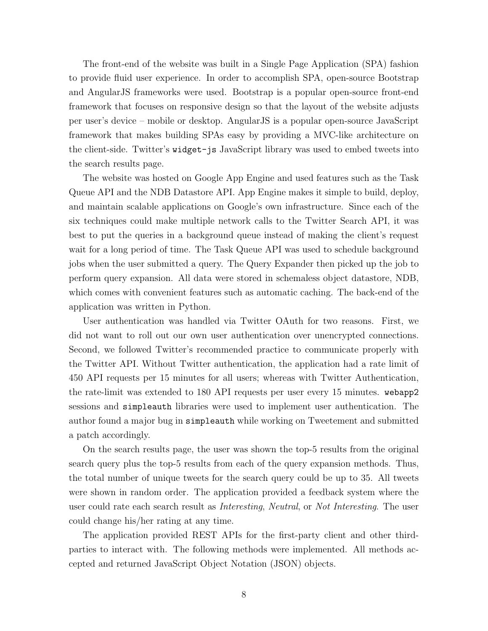The front-end of the website was built in a Single Page Application (SPA) fashion to provide fluid user experience. In order to accomplish SPA, open-source Bootstrap and AngularJS frameworks were used. Bootstrap is a popular open-source front-end framework that focuses on responsive design so that the layout of the website adjusts per user's device – mobile or desktop. AngularJS is a popular open-source JavaScript framework that makes building SPAs easy by providing a MVC-like architecture on the client-side. Twitter's widget-js JavaScript library was used to embed tweets into the search results page.

The website was hosted on Google App Engine and used features such as the Task Queue API and the NDB Datastore API. App Engine makes it simple to build, deploy, and maintain scalable applications on Google's own infrastructure. Since each of the six techniques could make multiple network calls to the Twitter Search API, it was best to put the queries in a background queue instead of making the client's request wait for a long period of time. The Task Queue API was used to schedule background jobs when the user submitted a query. The Query Expander then picked up the job to perform query expansion. All data were stored in schemaless object datastore, NDB, which comes with convenient features such as automatic caching. The back-end of the application was written in Python.

User authentication was handled via Twitter OAuth for two reasons. First, we did not want to roll out our own user authentication over unencrypted connections. Second, we followed Twitter's recommended practice to communicate properly with the Twitter API. Without Twitter authentication, the application had a rate limit of 450 API requests per 15 minutes for all users; whereas with Twitter Authentication, the rate-limit was extended to 180 API requests per user every 15 minutes. webapp2 sessions and simpleauth libraries were used to implement user authentication. The author found a major bug in simpleauth while working on Tweetement and submitted a patch accordingly.

On the search results page, the user was shown the top-5 results from the original search query plus the top-5 results from each of the query expansion methods. Thus, the total number of unique tweets for the search query could be up to 35. All tweets were shown in random order. The application provided a feedback system where the user could rate each search result as Interesting, Neutral, or Not Interesting. The user could change his/her rating at any time.

The application provided REST APIs for the first-party client and other thirdparties to interact with. The following methods were implemented. All methods accepted and returned JavaScript Object Notation (JSON) objects.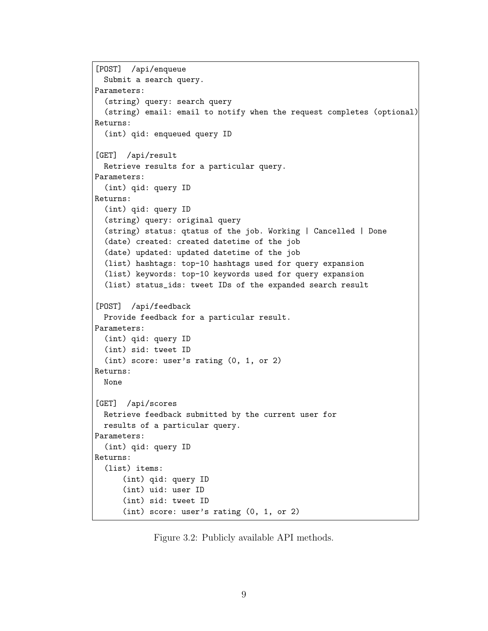```
[POST] /api/enqueue
  Submit a search query.
Parameters:
  (string) query: search query
  (string) email: email to notify when the request completes (optional)
Returns:
  (int) qid: enqueued query ID
[GET] /api/result
  Retrieve results for a particular query.
Parameters:
  (int) qid: query ID
Returns:
  (int) qid: query ID
  (string) query: original query
  (string) status: qtatus of the job. Working | Cancelled | Done
  (date) created: created datetime of the job
  (date) updated: updated datetime of the job
  (list) hashtags: top-10 hashtags used for query expansion
  (list) keywords: top-10 keywords used for query expansion
  (list) status_ids: tweet IDs of the expanded search result
[POST] /api/feedback
  Provide feedback for a particular result.
Parameters:
  (int) qid: query ID
  (int) sid: tweet ID
  (int) score: user's rating (0, 1, or 2)
Returns:
  None
[GET] /api/scores
 Retrieve feedback submitted by the current user for
  results of a particular query.
Parameters:
  (int) qid: query ID
Returns:
  (list) items:
      (int) qid: query ID
      (int) uid: user ID
      (int) sid: tweet ID
      (int) score: user's rating (0, 1, or 2)
```
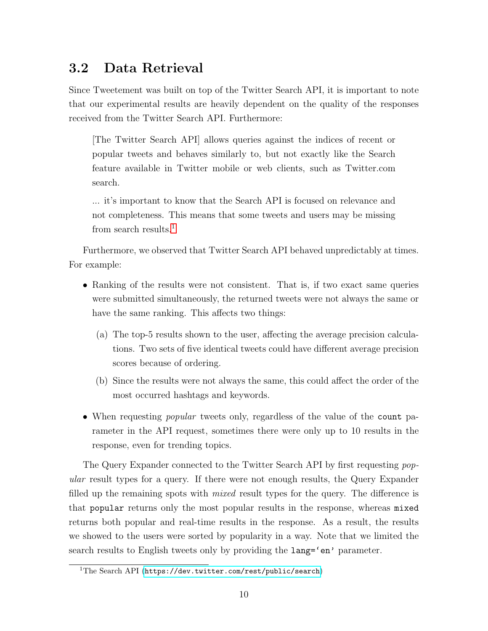### <span id="page-14-0"></span>3.2 Data Retrieval

Since Tweetement was built on top of the Twitter Search API, it is important to note that our experimental results are heavily dependent on the quality of the responses received from the Twitter Search API. Furthermore:

[The Twitter Search API] allows queries against the indices of recent or popular tweets and behaves similarly to, but not exactly like the Search feature available in Twitter mobile or web clients, such as Twitter.com search.

... it's important to know that the Search API is focused on relevance and not completeness. This means that some tweets and users may be missing from search results.<sup>[1](#page-14-1)</sup>

Furthermore, we observed that Twitter Search API behaved unpredictably at times. For example:

- Ranking of the results were not consistent. That is, if two exact same queries were submitted simultaneously, the returned tweets were not always the same or have the same ranking. This affects two things:
	- (a) The top-5 results shown to the user, affecting the average precision calculations. Two sets of five identical tweets could have different average precision scores because of ordering.
	- (b) Since the results were not always the same, this could affect the order of the most occurred hashtags and keywords.
- When requesting *popular* tweets only, regardless of the value of the count parameter in the API request, sometimes there were only up to 10 results in the response, even for trending topics.

The Query Expander connected to the Twitter Search API by first requesting popular result types for a query. If there were not enough results, the Query Expander filled up the remaining spots with *mixed* result types for the query. The difference is that popular returns only the most popular results in the response, whereas mixed returns both popular and real-time results in the response. As a result, the results we showed to the users were sorted by popularity in a way. Note that we limited the search results to English tweets only by providing the  $\text{lang}=\text{en'}$  parameter.

<span id="page-14-1"></span><sup>&</sup>lt;sup>1</sup>The Search API (<https://dev.twitter.com/rest/public/search>)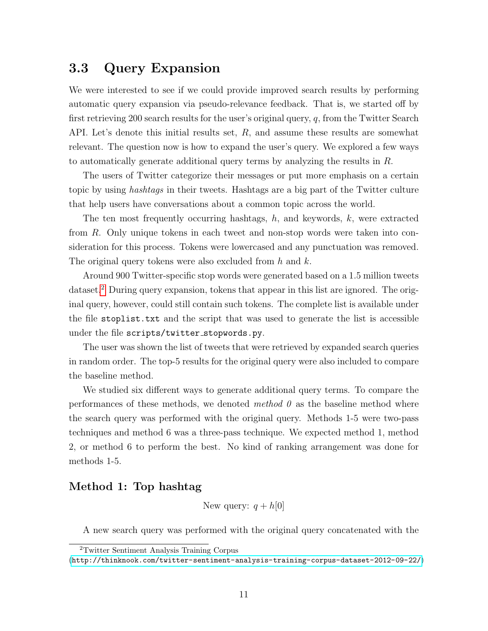### <span id="page-15-0"></span>3.3 Query Expansion

We were interested to see if we could provide improved search results by performing automatic query expansion via pseudo-relevance feedback. That is, we started off by first retrieving 200 search results for the user's original query,  $q$ , from the Twitter Search API. Let's denote this initial results set, R, and assume these results are somewhat relevant. The question now is how to expand the user's query. We explored a few ways to automatically generate additional query terms by analyzing the results in R.

The users of Twitter categorize their messages or put more emphasis on a certain topic by using hashtags in their tweets. Hashtags are a big part of the Twitter culture that help users have conversations about a common topic across the world.

The ten most frequently occurring hashtags,  $h$ , and keywords,  $k$ , were extracted from R. Only unique tokens in each tweet and non-stop words were taken into consideration for this process. Tokens were lowercased and any punctuation was removed. The original query tokens were also excluded from h and k.

Around 900 Twitter-specific stop words were generated based on a 1.5 million tweets dataset.<sup>[2](#page-15-1)</sup> During query expansion, tokens that appear in this list are ignored. The original query, however, could still contain such tokens. The complete list is available under the file stoplist.txt and the script that was used to generate the list is accessible under the file scripts/twitter stopwords.py.

The user was shown the list of tweets that were retrieved by expanded search queries in random order. The top-5 results for the original query were also included to compare the baseline method.

We studied six different ways to generate additional query terms. To compare the performances of these methods, we denoted method  $\theta$  as the baseline method where the search query was performed with the original query. Methods 1-5 were two-pass techniques and method 6 was a three-pass technique. We expected method 1, method 2, or method 6 to perform the best. No kind of ranking arrangement was done for methods 1-5.

#### Method 1: Top hashtag

New query:  $q + h[0]$ 

A new search query was performed with the original query concatenated with the

<span id="page-15-1"></span><sup>2</sup>Twitter Sentiment Analysis Training Corpus

<sup>(</sup><http://thinknook.com/twitter-sentiment-analysis-training-corpus-dataset-2012-09-22/>)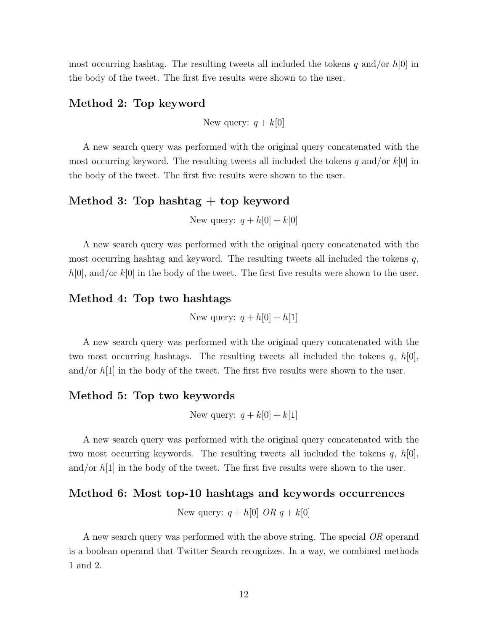most occurring hashtag. The resulting tweets all included the tokens q and/or  $h[0]$  in the body of the tweet. The first five results were shown to the user.

#### Method 2: Top keyword

New query:  $q + k[0]$ 

A new search query was performed with the original query concatenated with the most occurring keyword. The resulting tweets all included the tokens q and/or  $k[0]$  in the body of the tweet. The first five results were shown to the user.

#### Method 3: Top hashtag + top keyword

New query:  $q + h[0] + k[0]$ 

A new search query was performed with the original query concatenated with the most occurring hashtag and keyword. The resulting tweets all included the tokens  $q$ ,  $h[0]$ , and/or  $k[0]$  in the body of the tweet. The first five results were shown to the user.

#### Method 4: Top two hashtags

New query:  $q + h[0] + h[1]$ 

A new search query was performed with the original query concatenated with the two most occurring hashtags. The resulting tweets all included the tokens  $q, h[0],$ and/or  $h[1]$  in the body of the tweet. The first five results were shown to the user.

#### Method 5: Top two keywords

New query:  $q + k[0] + k[1]$ 

A new search query was performed with the original query concatenated with the two most occurring keywords. The resulting tweets all included the tokens  $q, h[0],$ and/or  $h[1]$  in the body of the tweet. The first five results were shown to the user.

#### Method 6: Most top-10 hashtags and keywords occurrences

New query:  $q + h[0]$  OR  $q + k[0]$ 

A new search query was performed with the above string. The special OR operand is a boolean operand that Twitter Search recognizes. In a way, we combined methods 1 and 2.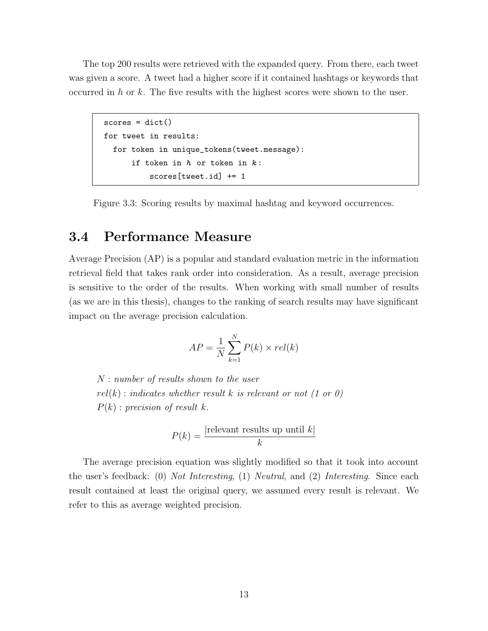The top 200 results were retrieved with the expanded query. From there, each tweet was given a score. A tweet had a higher score if it contained hashtags or keywords that occurred in h or k. The five results with the highest scores were shown to the user.

```
scores = dict()
for tweet in results:
 for token in unique_tokens(tweet.message):
      if token in h or token in k:
          scores[tweet.id] += 1
```
Figure 3.3: Scoring results by maximal hashtag and keyword occurrences.

### <span id="page-17-0"></span>3.4 Performance Measure

Average Precision (AP) is a popular and standard evaluation metric in the information retrieval field that takes rank order into consideration. As a result, average precision is sensitive to the order of the results. When working with small number of results (as we are in this thesis), changes to the ranking of search results may have significant impact on the average precision calculation.

$$
AP = \frac{1}{N} \sum_{k=1}^{N} P(k) \times rel(k)
$$

N : number of results shown to the user  $rel(k)$ : indicates whether result k is relevant or not (1 or 0)  $P(k)$ : precision of result k.

$$
P(k) = \frac{|\text{relevant results up until }k|}{k}
$$

The average precision equation was slightly modified so that it took into account the user's feedback: (0) Not Interesting, (1) Neutral, and (2) Interesting. Since each result contained at least the original query, we assumed every result is relevant. We refer to this as average weighted precision.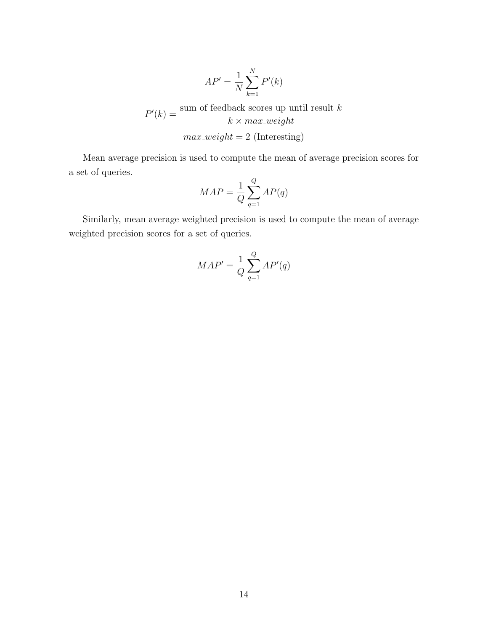$$
AP' = \frac{1}{N} \sum_{k=1}^{N} P'(k)
$$

$$
P'(k) = \frac{\text{sum of feedback scores up until result } k}{k \times max\_weight}
$$

$$
max\_weight = 2 \text{ (Interestingly)}
$$

Mean average precision is used to compute the mean of average precision scores for a set of queries.

$$
MAP = \frac{1}{Q} \sum_{q=1}^{Q} AP(q)
$$

Similarly, mean average weighted precision is used to compute the mean of average weighted precision scores for a set of queries.

$$
MAP' = \frac{1}{Q} \sum_{q=1}^{Q} AP'(q)
$$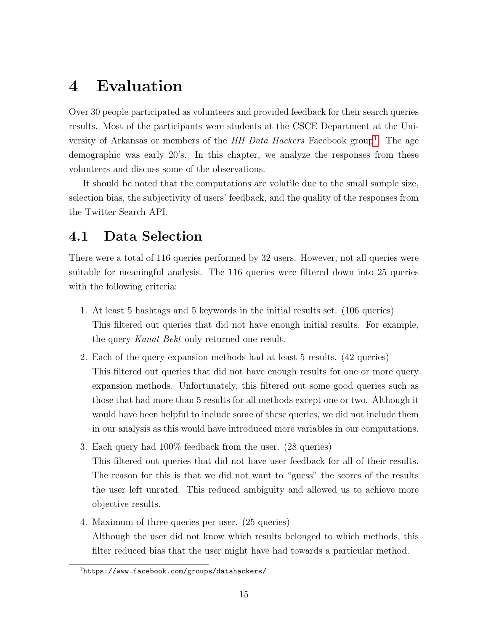# <span id="page-19-0"></span>4 Evaluation

Over 30 people participated as volunteers and provided feedback for their search queries results. Most of the participants were students at the CSCE Department at the University of Arkansas or members of the  $HH$  Data Hackers Facebook group<sup>[1](#page-19-2)</sup>. The age demographic was early 20's. In this chapter, we analyze the responses from these volunteers and discuss some of the observations.

It should be noted that the computations are volatile due to the small sample size, selection bias, the subjectivity of users' feedback, and the quality of the responses from the Twitter Search API.

### <span id="page-19-1"></span>4.1 Data Selection

There were a total of 116 queries performed by 32 users. However, not all queries were suitable for meaningful analysis. The 116 queries were filtered down into 25 queries with the following criteria:

- 1. At least 5 hashtags and 5 keywords in the initial results set. (106 queries) This filtered out queries that did not have enough initial results. For example, the query Kanat Bekt only returned one result.
- 2. Each of the query expansion methods had at least 5 results. (42 queries) This filtered out queries that did not have enough results for one or more query expansion methods. Unfortunately, this filtered out some good queries such as those that had more than 5 results for all methods except one or two. Although it would have been helpful to include some of these queries, we did not include them in our analysis as this would have introduced more variables in our computations.
- 3. Each query had 100% feedback from the user. (28 queries) This filtered out queries that did not have user feedback for all of their results. The reason for this is that we did not want to "guess" the scores of the results the user left unrated. This reduced ambiguity and allowed us to achieve more objective results.
- 4. Maximum of three queries per user. (25 queries) Although the user did not know which results belonged to which methods, this filter reduced bias that the user might have had towards a particular method.

<span id="page-19-2"></span> $1$ https://www.facebook.com/groups/datahackers/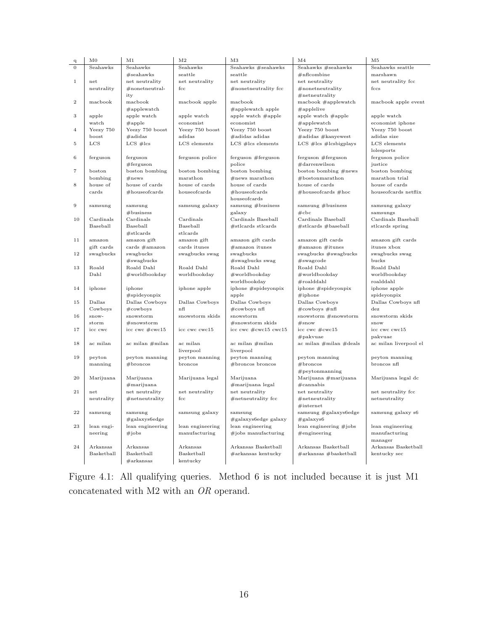| q              | $_{\rm M0}$          | M1                                   | M <sub>2</sub>              | M <sub>3</sub>                          | M <sub>4</sub>                                     | M5                               |
|----------------|----------------------|--------------------------------------|-----------------------------|-----------------------------------------|----------------------------------------------------|----------------------------------|
| $\mathbf 0$    | Seahawks             | Seahawks                             | Seahawks                    | Seahawks #seahawks                      | Seahawks #seahawks                                 | Seahawks seattle                 |
|                |                      | $#$ seahawks                         | seattle                     | seattle                                 | $#n$ flcombine                                     | marshawn                         |
| $\mathbf 1$    | net                  | net neutrality                       | net neutrality              | net neutrality                          | net neutrality                                     | net neutrality fcc               |
|                | neutrality           | $#$ nonetneutral-                    | $_{\text{fcc}}$             | $#$ nonetneutrality fcc                 | $#$ nonetneutrality                                | fccs                             |
|                |                      | ity                                  |                             |                                         | $#$ netneutrality                                  |                                  |
| $\overline{2}$ | macbook              | macbook                              | macbook apple               | macbook                                 | macbook #applewatch                                | macbook apple event              |
|                |                      | #applewatch                          |                             | $\#$ applewatch apple                   | $\#app$ lelive                                     |                                  |
| 3              | apple                | apple watch                          | apple watch                 | apple watch $\#_{\text{apple}}$         | apple watch #apple                                 | apple watch                      |
|                | watch                | #apple                               | economist                   | economist                               | $\#app$ lewatch                                    | economist iphone                 |
| 4              | Yeezy 750            | Yeezy 750 boost                      | Yeezy 750 boost             | Yeezy 750 boost                         | Yeezy 750 boost                                    | Yeezy 750 boost                  |
|                | boost                | $\#$ adidas                          | adidas                      | $\#$ adidas adidas                      | $\#$ adidas $\#$ kanyewest                         | adidas size                      |
| 5              | $_{\rm LCS}$         | $LCS$ # $lcs$                        | LCS elements                | $LCS$ #lcs elements                     | $LCS$ #lcs #lcsbigplays                            | LCS elements                     |
|                |                      |                                      |                             |                                         |                                                    | lolesports                       |
| 6              | ferguson             | ferguson                             | ferguson police             | ferguson #ferguson                      | ferguson #ferguson                                 | ferguson police                  |
|                |                      | $#$ ferguson                         |                             | police                                  | #darrenwilson                                      | justice                          |
| 7              | boston               | boston bombing                       | boston bombing              | boston bombing                          | boston bombing #news                               | boston bombing                   |
|                | bombing              | #news                                | marathon                    | $#news$ marathon                        | $#$ bostonmarathon                                 | marathon trial                   |
| 8              | house of             | house of cards                       | house of cards              | house of cards                          | house of cards                                     | house of cards                   |
|                | cards                | $#$ houseofcards                     | houseofcards                | $#$ houseofcards                        | $#$ houseofcards $#$ hoc                           | houseofcards netflix             |
|                |                      |                                      |                             | houseofcards                            |                                                    |                                  |
| $\overline{9}$ | samsung              | samsung                              | samsung galaxy              | samsung $#$ business                    | samsung $#$ business                               | samsung galaxy                   |
|                |                      | $#$ business                         |                             | galaxy                                  | #abc                                               | samsungs                         |
| 10             | Cardinals            | Cardinals                            | Cardinals                   | Cardinals Baseball                      | Cardinals Baseball                                 | Cardinals Baseball               |
|                | Baseball             | Baseball                             | Baseball                    | #stlcards stlcards                      | $#$ stlcards $#$ baseball                          | stlcards spring                  |
|                |                      | $#$ stlcards                         | stlcards                    |                                         |                                                    |                                  |
| 11             | amazon<br>gift cards | amazon gift                          | amazon gift<br>cards itunes | amazon gift cards<br>$\#$ amazon itunes | amazon gift cards                                  | amazon gift cards<br>itunes xbox |
| 12             | swagbucks            | cards $\#\text{amazon}$<br>swagbucks | swagbucks swag              | swagbucks                               | $\#$ amazon $\#$ itunes<br>swagbucks $#swag$ bucks | swagbucks swag                   |
|                |                      | #swagbucks                           |                             | #swagbucks swag                         | #swagcode                                          | bucks                            |
| 13             | Roald                | Roald Dahl                           | Roald Dahl                  | Roald Dahl                              | Roald Dahl                                         | Roald Dahl                       |
|                | Dahl                 | #worldbookday                        | worldbookday                | #worldbookday                           | #worldbookday                                      | worldbookday                     |
|                |                      |                                      |                             | worldbookday                            | #roalddahl                                         | roalddahl                        |
| 14             | iphone               | iphone                               | iphone apple                | iphone #spideyonpix                     | iphone #spideyonpix                                | iphone apple                     |
|                |                      | #spideyonpix                         |                             | apple                                   | #iphone                                            | spideyonpix                      |
| 15             | Dallas               | Dallas Cowboys                       | Dallas Cowboys              | Dallas Cowboys                          | Dallas Cowboys                                     | Dallas Cowboys nfl               |
|                | Cowboys              | $#$ cowboys                          | nfl                         | $\#\text{cowboys nfl}$                  | $\#\text{cowboys }\#n\text{fl}$                    | $_{\rm{dez}}$                    |
| 16             | snow-                | snowstorm                            | snowstorm skids             | snowstorm                               | snowstorm #snowstorm                               | snowstorm skids                  |
|                | storm                | $#$ snowstorm                        |                             | $#$ snowstorm skids                     | $#$ snow                                           | snow                             |
| 17             | icc cwc              | icc cwc $\#\text{cwc}15$             | icc cwc cwc15               | icc cwc #cwc15 cwc15                    | icc cwc #cwc15                                     | icc cwc cwc15                    |
|                |                      |                                      |                             |                                         | #pakvuae                                           | pakvuae                          |
| 18             | ac milan             | $ac$ milan $#$ milan                 | ac milan                    | $ac$ milan $#$ milan                    | ac milan #milan #deals                             | ac milan liverpool el            |
|                |                      |                                      | liverpool                   | liverpool                               |                                                    |                                  |
| 19             | peyton               | peyton manning                       | peyton manning              | peyton manning                          | peyton manning                                     | peyton manning                   |
|                | manning              | # <b>b</b> roncos                    | broncos                     | $#$ broncos broncos                     | # <b>b</b> roncos                                  | broncos nfl                      |
|                |                      |                                      |                             |                                         | $\#$ peytonmanning                                 |                                  |
| 20             | Marijuana            | Marijuana                            | Marijuana legal             | Marijuana                               | Marijuana #marijuana                               | Marijuana legal dc               |
|                |                      | $#$ marijuana                        |                             | #marijuana legal                        | $\#\text{cannabis}$                                |                                  |
| 21             | net                  | net neutrality                       | net neutrality              | net neutrality                          | net neutrality                                     | net neutrality fcc               |
|                | neutrality           | $#$ netneutrality                    | $_{\text{fcc}}$             | $#$ netneutrality fcc                   | $#$ netneutrality                                  | netneutrality                    |
|                |                      |                                      |                             |                                         | $#$ internet                                       |                                  |
| 22             | samsung              | samsung                              | samsung galaxy              | samsung                                 | samsung #galaxys6edge                              | samsung galaxy s6                |
|                |                      | $#$ galaxys6edge                     |                             | #galaxys6edge galaxy                    | $\#$ galaxys6                                      |                                  |
| 23             | lean engi-           | lean engineering                     | lean engineering            | lean engineering                        | lean engineering #jobs                             | lean engineering                 |
|                | neering              | #jobs                                | manufacturing               | #jobs manufacturing                     | $\#$ engineering                                   | manufacturing                    |
|                |                      |                                      |                             |                                         |                                                    | manager                          |
| 24             | Arkansas             | Arkansas                             | Arkansas                    | Arkansas Basketball                     | Arkansas Basketball                                | Arkansas Basketball              |
|                | Basketball           | Basketball                           | Basketball                  | #arkansas kentucky                      | #arkansas #basketball                              | kentucky sec                     |
|                |                      | #arkansas                            | kentucky                    |                                         |                                                    |                                  |

Figure 4.1: All qualifying queries. Method 6 is not included because it is just M1 concatenated with M2 with an OR operand.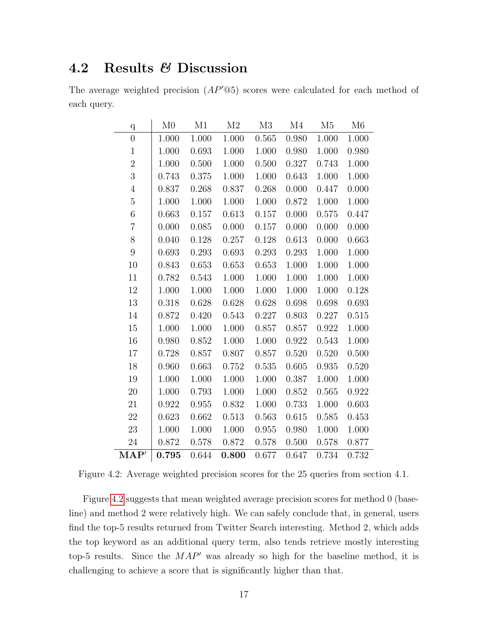### <span id="page-21-0"></span>4.2 Results & Discussion

The average weighted precision  $AP'@5$  scores were calculated for each method of each query.

| $\mathbf q$      | M <sub>0</sub> | M1    | M <sub>2</sub> | M3    | $\rm M4$ | M <sub>5</sub> | M6    |
|------------------|----------------|-------|----------------|-------|----------|----------------|-------|
| $\boldsymbol{0}$ | 1.000          | 1.000 | 1.000          | 0.565 | 0.980    | 1.000          | 1.000 |
| $\mathbf{1}$     | 1.000          | 0.693 | 1.000          | 1.000 | 0.980    | 1.000          | 0.980 |
| $\overline{2}$   | 1.000          | 0.500 | 1.000          | 0.500 | 0.327    | 0.743          | 1.000 |
| 3                | 0.743          | 0.375 | 1.000          | 1.000 | 0.643    | 1.000          | 1.000 |
| $\overline{4}$   | 0.837          | 0.268 | 0.837          | 0.268 | 0.000    | 0.447          | 0.000 |
| $\bf 5$          | 1.000          | 1.000 | $1.000\,$      | 1.000 | 0.872    | 1.000          | 1.000 |
| $\sqrt{6}$       | 0.663          | 0.157 | 0.613          | 0.157 | 0.000    | 0.575          | 0.447 |
| $\overline{7}$   | 0.000          | 0.085 | 0.000          | 0.157 | 0.000    | 0.000          | 0.000 |
| 8                | 0.040          | 0.128 | 0.257          | 0.128 | 0.613    | 0.000          | 0.663 |
| 9                | 0.693          | 0.293 | 0.693          | 0.293 | 0.293    | 1.000          | 1.000 |
| 10               | 0.843          | 0.653 | 0.653          | 0.653 | 1.000    | 1.000          | 1.000 |
| 11               | 0.782          | 0.543 | 1.000          | 1.000 | 1.000    | 1.000          | 1.000 |
| 12               | 1.000          | 1.000 | 1.000          | 1.000 | 1.000    | 1.000          | 0.128 |
| 13               | 0.318          | 0.628 | 0.628          | 0.628 | 0.698    | 0.698          | 0.693 |
| 14               | 0.872          | 0.420 | 0.543          | 0.227 | 0.803    | 0.227          | 0.515 |
| 15               | 1.000          | 1.000 | 1.000          | 0.857 | 0.857    | 0.922          | 1.000 |
| 16               | 0.980          | 0.852 | 1.000          | 1.000 | 0.922    | 0.543          | 1.000 |
| 17               | 0.728          | 0.857 | 0.807          | 0.857 | 0.520    | 0.520          | 0.500 |
| 18               | 0.960          | 0.663 | 0.752          | 0.535 | 0.605    | 0.935          | 0.520 |
| 19               | 1.000          | 1.000 | 1.000          | 1.000 | 0.387    | 1.000          | 1.000 |
| $20\,$           | 1.000          | 0.793 | 1.000          | 1.000 | 0.852    | 0.565          | 0.922 |
| 21               | 0.922          | 0.955 | 0.832          | 1.000 | 0.733    | 1.000          | 0.603 |
| $22\,$           | 0.623          | 0.662 | 0.513          | 0.563 | 0.615    | 0.585          | 0.453 |
| 23               | 1.000          | 1.000 | 1.000          | 0.955 | 0.980    | 1.000          | 1.000 |
| 24               | 0.872          | 0.578 | 0.872          | 0.578 | 0.500    | 0.578          | 0.877 |
| MAP'             | 0.795          | 0.644 | 0.800          | 0.677 | 0.647    | 0.734          | 0.732 |

<span id="page-21-1"></span>Figure 4.2: Average weighted precision scores for the 25 queries from section 4.1.

Figure [4.2](#page-21-1) suggests that mean weighted average precision scores for method 0 (baseline) and method 2 were relatively high. We can safely conclude that, in general, users find the top-5 results returned from Twitter Search interesting. Method 2, which adds the top keyword as an additional query term, also tends retrieve mostly interesting top-5 results. Since the  $MAP'$  was already so high for the baseline method, it is challenging to achieve a score that is significantly higher than that.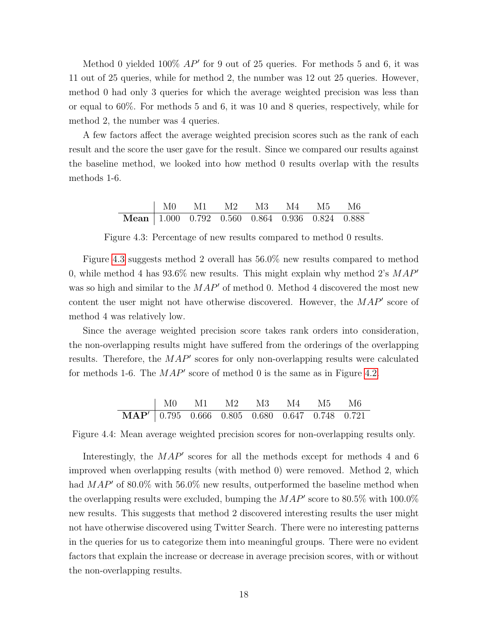Method 0 yielded  $100\%$   $AP'$  for 9 out of 25 queries. For methods 5 and 6, it was 11 out of 25 queries, while for method 2, the number was 12 out 25 queries. However, method 0 had only 3 queries for which the average weighted precision was less than or equal to 60%. For methods 5 and 6, it was 10 and 8 queries, respectively, while for method 2, the number was 4 queries.

A few factors affect the average weighted precision scores such as the rank of each result and the score the user gave for the result. Since we compared our results against the baseline method, we looked into how method 0 results overlap with the results methods 1-6.

<span id="page-22-0"></span>

|                                                               | MO M1 M2 M3 M4 M5 M6 |  |  |  |
|---------------------------------------------------------------|----------------------|--|--|--|
| <b>Mean</b> $\vert$ 1.000 0.792 0.560 0.864 0.936 0.824 0.888 |                      |  |  |  |

Figure 4.3: Percentage of new results compared to method 0 results.

Figure [4.3](#page-22-0) suggests method 2 overall has 56.0% new results compared to method 0, while method 4 has  $93.6\%$  new results. This might explain why method 2's  $MAP'$ was so high and similar to the  $MAP'$  of method 0. Method 4 discovered the most new content the user might not have otherwise discovered. However, the  $MAP'$  score of method 4 was relatively low.

Since the average weighted precision score takes rank orders into consideration, the non-overlapping results might have suffered from the orderings of the overlapping results. Therefore, the  $MAP'$  scores for only non-overlapping results were calculated for methods 1-6. The  $MAP'$  score of method 0 is the same as in Figure [4.2.](#page-21-1)

|                                                                           | $\vert$ M0 M1 M2 M3 M4 M5 M6 |  |  |  |
|---------------------------------------------------------------------------|------------------------------|--|--|--|
| $\overline{\textbf{MAP'} \mid 0.795}$ 0.666 0.805 0.680 0.647 0.748 0.721 |                              |  |  |  |

Figure 4.4: Mean average weighted precision scores for non-overlapping results only.

Interestingly, the  $MAP'$  scores for all the methods except for methods 4 and 6 improved when overlapping results (with method 0) were removed. Method 2, which had  $MAP'$  of 80.0% with 56.0% new results, outperformed the baseline method when the overlapping results were excluded, bumping the  $MAP'$  score to 80.5% with 100.0% new results. This suggests that method 2 discovered interesting results the user might not have otherwise discovered using Twitter Search. There were no interesting patterns in the queries for us to categorize them into meaningful groups. There were no evident factors that explain the increase or decrease in average precision scores, with or without the non-overlapping results.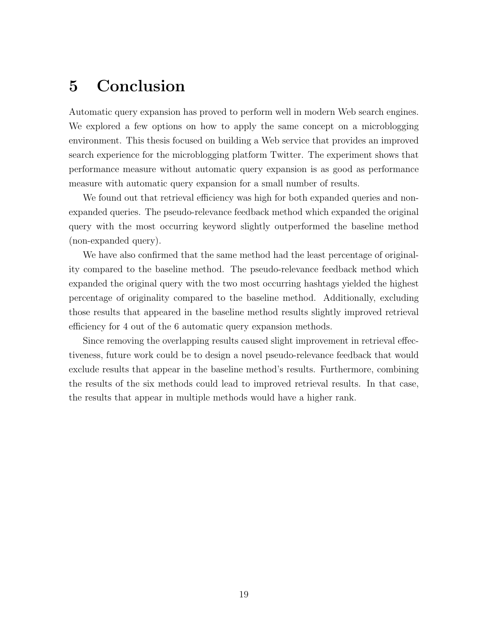## <span id="page-23-0"></span>5 Conclusion

Automatic query expansion has proved to perform well in modern Web search engines. We explored a few options on how to apply the same concept on a microblogging environment. This thesis focused on building a Web service that provides an improved search experience for the microblogging platform Twitter. The experiment shows that performance measure without automatic query expansion is as good as performance measure with automatic query expansion for a small number of results.

We found out that retrieval efficiency was high for both expanded queries and nonexpanded queries. The pseudo-relevance feedback method which expanded the original query with the most occurring keyword slightly outperformed the baseline method (non-expanded query).

We have also confirmed that the same method had the least percentage of originality compared to the baseline method. The pseudo-relevance feedback method which expanded the original query with the two most occurring hashtags yielded the highest percentage of originality compared to the baseline method. Additionally, excluding those results that appeared in the baseline method results slightly improved retrieval efficiency for 4 out of the 6 automatic query expansion methods.

Since removing the overlapping results caused slight improvement in retrieval effectiveness, future work could be to design a novel pseudo-relevance feedback that would exclude results that appear in the baseline method's results. Furthermore, combining the results of the six methods could lead to improved retrieval results. In that case, the results that appear in multiple methods would have a higher rank.